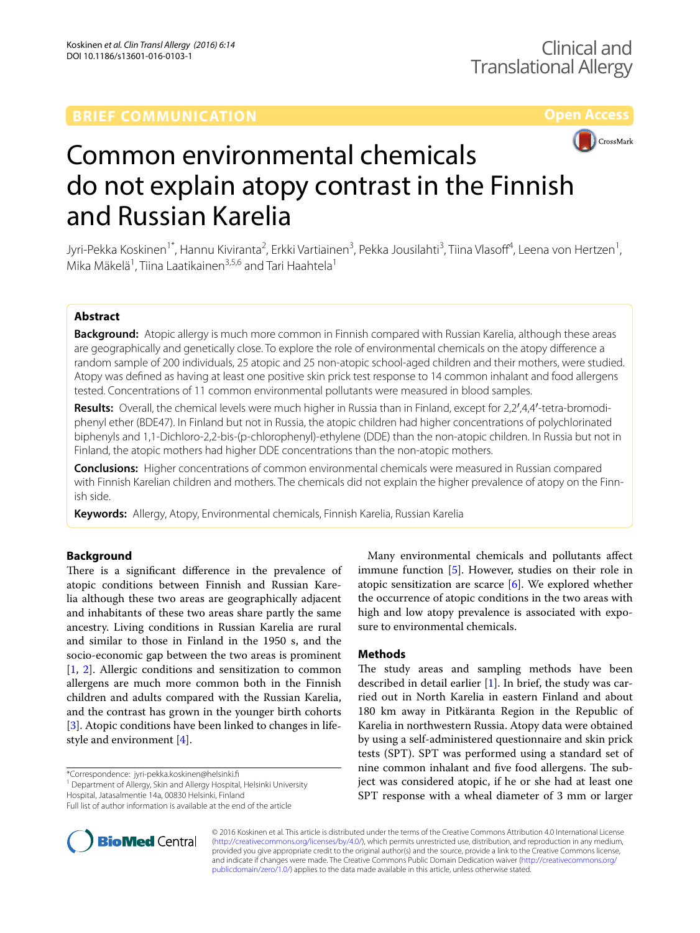# **BRIEF COMMUNICATION**



# Common environmental chemicals do not explain atopy contrast in the Finnish and Russian Karelia

Jyri-Pekka Koskinen<sup>1\*</sup>, Hannu Kiviranta<sup>2</sup>, Erkki Vartiainen<sup>3</sup>, Pekka Jousilahti<sup>3</sup>, Tiina Vlasoff<sup>4</sup>, Leena von Hertzen<sup>1</sup>, Mika Mäkelä<sup>1</sup>, Tiina Laatikainen<sup>3,5,6</sup> and Tari Haahtela<sup>1</sup>

# **Abstract**

**Background:** Atopic allergy is much more common in Finnish compared with Russian Karelia, although these areas are geographically and genetically close. To explore the role of environmental chemicals on the atopy difference a random sample of 200 individuals, 25 atopic and 25 non-atopic school-aged children and their mothers, were studied. Atopy was defined as having at least one positive skin prick test response to 14 common inhalant and food allergens tested. Concentrations of 11 common environmental pollutants were measured in blood samples.

Results: Overall, the chemical levels were much higher in Russia than in Finland, except for 2,2<sup>'</sup>,4,4'-tetra-bromodiphenyl ether (BDE47). In Finland but not in Russia, the atopic children had higher concentrations of polychlorinated biphenyls and 1,1-Dichloro-2,2-bis-(p-chlorophenyl)-ethylene (DDE) than the non-atopic children. In Russia but not in Finland, the atopic mothers had higher DDE concentrations than the non-atopic mothers.

**Conclusions:** Higher concentrations of common environmental chemicals were measured in Russian compared with Finnish Karelian children and mothers. The chemicals did not explain the higher prevalence of atopy on the Finnish side.

**Keywords:** Allergy, Atopy, Environmental chemicals, Finnish Karelia, Russian Karelia

# **Background**

There is a significant difference in the prevalence of atopic conditions between Finnish and Russian Karelia although these two areas are geographically adjacent and inhabitants of these two areas share partly the same ancestry. Living conditions in Russian Karelia are rural and similar to those in Finland in the 1950 s, and the socio-economic gap between the two areas is prominent [[1,](#page-3-0) [2\]](#page-3-1). Allergic conditions and sensitization to common allergens are much more common both in the Finnish children and adults compared with the Russian Karelia, and the contrast has grown in the younger birth cohorts [[3\]](#page-3-2). Atopic conditions have been linked to changes in lifestyle and environment [\[4](#page-3-3)].

\*Correspondence: jyri‑pekka.koskinen@helsinki.fi

<sup>1</sup> Department of Allergy, Skin and Allergy Hospital, Helsinki University Hospital, Jatasalmentie 14a, 00830 Helsinki, Finland



# **Methods**

The study areas and sampling methods have been described in detail earlier  $[1]$  $[1]$ . In brief, the study was carried out in North Karelia in eastern Finland and about 180 km away in Pitkäranta Region in the Republic of Karelia in northwestern Russia. Atopy data were obtained by using a self-administered questionnaire and skin prick tests (SPT). SPT was performed using a standard set of nine common inhalant and five food allergens. The subject was considered atopic, if he or she had at least one SPT response with a wheal diameter of 3 mm or larger



© 2016 Koskinen et al. This article is distributed under the terms of the Creative Commons Attribution 4.0 International License [\(http://creativecommons.org/licenses/by/4.0/\)](http://creativecommons.org/licenses/by/4.0/), which permits unrestricted use, distribution, and reproduction in any medium, provided you give appropriate credit to the original author(s) and the source, provide a link to the Creative Commons license, and indicate if changes were made. The Creative Commons Public Domain Dedication waiver ([http://creativecommons.org/](http://creativecommons.org/publicdomain/zero/1.0/) [publicdomain/zero/1.0/](http://creativecommons.org/publicdomain/zero/1.0/)) applies to the data made available in this article, unless otherwise stated.

Full list of author information is available at the end of the article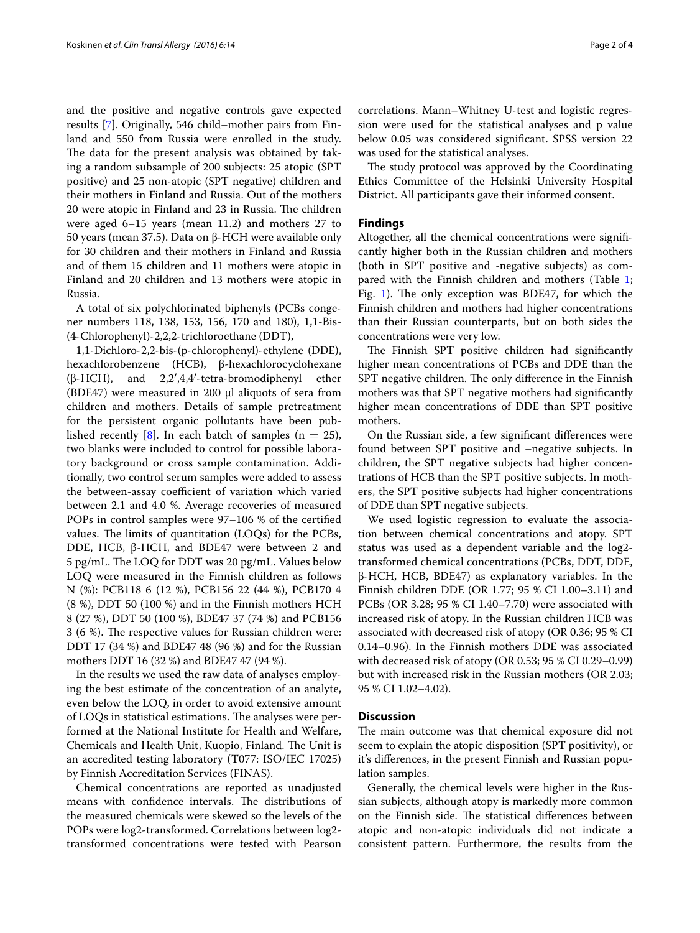and the positive and negative controls gave expected results [\[7](#page-3-6)]. Originally, 546 child–mother pairs from Finland and 550 from Russia were enrolled in the study. The data for the present analysis was obtained by taking a random subsample of 200 subjects: 25 atopic (SPT positive) and 25 non-atopic (SPT negative) children and their mothers in Finland and Russia. Out of the mothers 20 were atopic in Finland and 23 in Russia. The children were aged 6–15 years (mean 11.2) and mothers 27 to 50 years (mean 37.5). Data on β-HCH were available only for 30 children and their mothers in Finland and Russia and of them 15 children and 11 mothers were atopic in Finland and 20 children and 13 mothers were atopic in Russia.

A total of six polychlorinated biphenyls (PCBs congener numbers 118, 138, 153, 156, 170 and 180), 1,1-Bis- (4-Chlorophenyl)-2,2,2-trichloroethane (DDT),

1,1-Dichloro-2,2-bis-(p-chlorophenyl)-ethylene (DDE), hexachlorobenzene (HCB), β-hexachlorocyclohexane (β-HCH), and 2,2′,4,4′-tetra-bromodiphenyl ether (BDE47) were measured in 200  $\mu$ l aliquots of sera from children and mothers. Details of sample pretreatment for the persistent organic pollutants have been pub-lished recently [\[8\]](#page-3-7). In each batch of samples ( $n = 25$ ), two blanks were included to control for possible laboratory background or cross sample contamination. Additionally, two control serum samples were added to assess the between-assay coefficient of variation which varied between 2.1 and 4.0 %. Average recoveries of measured POPs in control samples were 97–106 % of the certified values. The limits of quantitation (LOQs) for the PCBs, DDE, HCB, β-HCH, and BDE47 were between 2 and 5 pg/mL. The LOQ for DDT was 20 pg/mL. Values below LOQ were measured in the Finnish children as follows N (%): PCB118 6 (12 %), PCB156 22 (44 %), PCB170 4 (8 %), DDT 50 (100 %) and in the Finnish mothers HCH 8 (27 %), DDT 50 (100 %), BDE47 37 (74 %) and PCB156 3 (6 %). The respective values for Russian children were: DDT 17 (34 %) and BDE47 48 (96 %) and for the Russian mothers DDT 16 (32 %) and BDE47 47 (94 %).

In the results we used the raw data of analyses employing the best estimate of the concentration of an analyte, even below the LOQ, in order to avoid extensive amount of LOQs in statistical estimations. The analyses were performed at the National Institute for Health and Welfare, Chemicals and Health Unit, Kuopio, Finland. The Unit is an accredited testing laboratory (T077: ISO/IEC 17025) by Finnish Accreditation Services (FINAS).

Chemical concentrations are reported as unadjusted means with confidence intervals. The distributions of the measured chemicals were skewed so the levels of the POPs were log2-transformed. Correlations between log2 transformed concentrations were tested with Pearson

correlations. Mann–Whitney U-test and logistic regression were used for the statistical analyses and p value below 0.05 was considered significant. SPSS version 22 was used for the statistical analyses.

The study protocol was approved by the Coordinating Ethics Committee of the Helsinki University Hospital District. All participants gave their informed consent.

# **Findings**

Altogether, all the chemical concentrations were significantly higher both in the Russian children and mothers (both in SPT positive and -negative subjects) as com-pared with the Finnish children and mothers (Table [1](#page-2-0); Fig. [1\)](#page-2-1). The only exception was BDE47, for which the Finnish children and mothers had higher concentrations than their Russian counterparts, but on both sides the concentrations were very low.

The Finnish SPT positive children had significantly higher mean concentrations of PCBs and DDE than the SPT negative children. The only difference in the Finnish mothers was that SPT negative mothers had significantly higher mean concentrations of DDE than SPT positive mothers.

On the Russian side, a few significant differences were found between SPT positive and –negative subjects. In children, the SPT negative subjects had higher concentrations of HCB than the SPT positive subjects. In mothers, the SPT positive subjects had higher concentrations of DDE than SPT negative subjects.

We used logistic regression to evaluate the association between chemical concentrations and atopy. SPT status was used as a dependent variable and the log2 transformed chemical concentrations (PCBs, DDT, DDE, β-HCH, HCB, BDE47) as explanatory variables. In the Finnish children DDE (OR 1.77; 95 % CI 1.00–3.11) and PCBs (OR 3.28; 95 % CI 1.40–7.70) were associated with increased risk of atopy. In the Russian children HCB was associated with decreased risk of atopy (OR 0.36; 95 % CI 0.14–0.96). In the Finnish mothers DDE was associated with decreased risk of atopy (OR 0.53; 95 % CI 0.29–0.99) but with increased risk in the Russian mothers (OR 2.03; 95 % CI 1.02–4.02).

## **Discussion**

The main outcome was that chemical exposure did not seem to explain the atopic disposition (SPT positivity), or it's differences, in the present Finnish and Russian population samples.

Generally, the chemical levels were higher in the Russian subjects, although atopy is markedly more common on the Finnish side. The statistical differences between atopic and non-atopic individuals did not indicate a consistent pattern. Furthermore, the results from the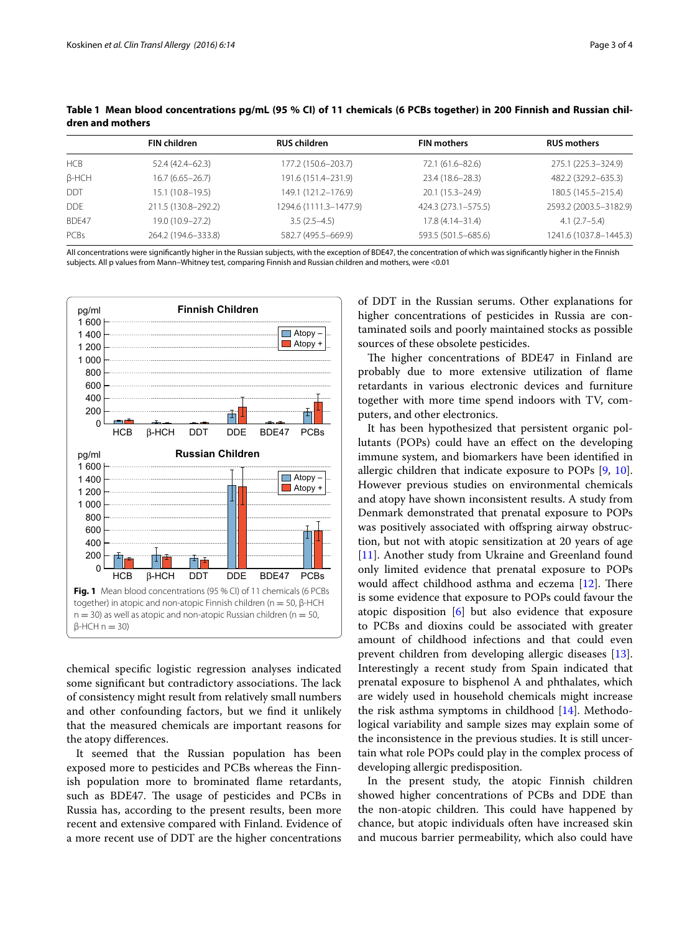|              | <b>FIN children</b> | <b>RUS children</b>    | <b>FIN mothers</b>  | <b>RUS mothers</b>     |
|--------------|---------------------|------------------------|---------------------|------------------------|
| <b>HCB</b>   | 52.4 (42.4–62.3)    | 177.2 (150.6-203.7)    | 72.1 (61.6–82.6)    | 275.1 (225.3-324.9)    |
| $\beta$ -HCH | $16.7(6.65 - 26.7)$ | 191.6 (151.4-231.9)    | 23.4 (18.6-28.3)    | 482.2 (329.2-635.3)    |
| <b>DDT</b>   | $15.1(10.8 - 19.5)$ | 149.1 (121.2-176.9)    | 20.1 (15.3-24.9)    | 180.5 (145.5-215.4)    |
| <b>DDE</b>   | 211.5 (130.8-292.2) | 1294.6 (1111.3-1477.9) | 424.3 (273.1-575.5) | 2593.2 (2003.5-3182.9) |
| BDE47        | 19.0 (10.9-27.2)    | $3.5(2.5-4.5)$         | $17.8(4.14 - 31.4)$ | $4.1(2.7-5.4)$         |
| PCBs         | 264.2 (194.6-333.8) | 582.7 (495.5-669.9)    | 593.5 (501.5-685.6) | 1241.6 (1037.8-1445.3) |

<span id="page-2-0"></span>**Table 1 Mean blood concentrations pg/mL (95 % CI) of 11 chemicals (6 PCBs together) in 200 Finnish and Russian children and mothers**

All concentrations were significantly higher in the Russian subjects, with the exception of BDE47, the concentration of which was significantly higher in the Finnish subjects. All p values from Mann–Whitney test, comparing Finnish and Russian children and mothers, were <0.01



<span id="page-2-1"></span>chemical specific logistic regression analyses indicated some significant but contradictory associations. The lack of consistency might result from relatively small numbers and other confounding factors, but we find it unlikely that the measured chemicals are important reasons for the atopy differences.

It seemed that the Russian population has been exposed more to pesticides and PCBs whereas the Finnish population more to brominated flame retardants, such as BDE47. The usage of pesticides and PCBs in Russia has, according to the present results, been more recent and extensive compared with Finland. Evidence of a more recent use of DDT are the higher concentrations of DDT in the Russian serums. Other explanations for higher concentrations of pesticides in Russia are contaminated soils and poorly maintained stocks as possible sources of these obsolete pesticides.

The higher concentrations of BDE47 in Finland are probably due to more extensive utilization of flame retardants in various electronic devices and furniture together with more time spend indoors with TV, computers, and other electronics.

It has been hypothesized that persistent organic pollutants (POPs) could have an effect on the developing immune system, and biomarkers have been identified in allergic children that indicate exposure to POPs [[9,](#page-3-8) [10](#page-3-9)]. However previous studies on environmental chemicals and atopy have shown inconsistent results. A study from Denmark demonstrated that prenatal exposure to POPs was positively associated with offspring airway obstruction, but not with atopic sensitization at 20 years of age [[11\]](#page-3-10). Another study from Ukraine and Greenland found only limited evidence that prenatal exposure to POPs would affect childhood asthma and eczema [[12\]](#page-3-11). There is some evidence that exposure to POPs could favour the atopic disposition [[6\]](#page-3-5) but also evidence that exposure to PCBs and dioxins could be associated with greater amount of childhood infections and that could even prevent children from developing allergic diseases [\[13](#page-3-12)]. Interestingly a recent study from Spain indicated that prenatal exposure to bisphenol A and phthalates, which are widely used in household chemicals might increase the risk asthma symptoms in childhood [\[14](#page-3-13)]. Methodological variability and sample sizes may explain some of the inconsistence in the previous studies. It is still uncertain what role POPs could play in the complex process of developing allergic predisposition.

In the present study, the atopic Finnish children showed higher concentrations of PCBs and DDE than the non-atopic children. This could have happened by chance, but atopic individuals often have increased skin and mucous barrier permeability, which also could have